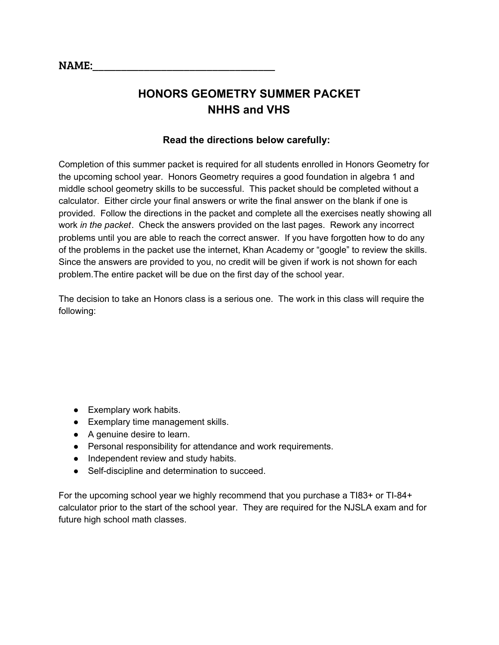# **HONORS GEOMETRY SUMMER PACKET NHHS and VHS**

# **Read the directions below carefully:**

Completion of this summer packet is required for all students enrolled in Honors Geometry for the upcoming school year. Honors Geometry requires a good foundation in algebra 1 and middle school geometry skills to be successful. This packet should be completed without a calculator. Either circle your final answers or write the final answer on the blank if one is provided. Follow the directions in the packet and complete all the exercises neatly showing all work *in the packet*. Check the answers provided on the last pages. Rework any incorrect problems until you are able to reach the correct answer. If you have forgotten how to do any of the problems in the packet use the internet, Khan Academy or "google" to review the skills. Since the answers are provided to you, no credit will be given if work is not shown for each problem.The entire packet will be due on the first day of the school year.

The decision to take an Honors class is a serious one. The work in this class will require the following:

- Exemplary work habits.
- Exemplary time management skills.
- A genuine desire to learn.
- Personal responsibility for attendance and work requirements.
- Independent review and study habits.
- Self-discipline and determination to succeed.

For the upcoming school year we highly recommend that you purchase a TI83+ or TI-84+ calculator prior to the start of the school year. They are required for the NJSLA exam and for future high school math classes.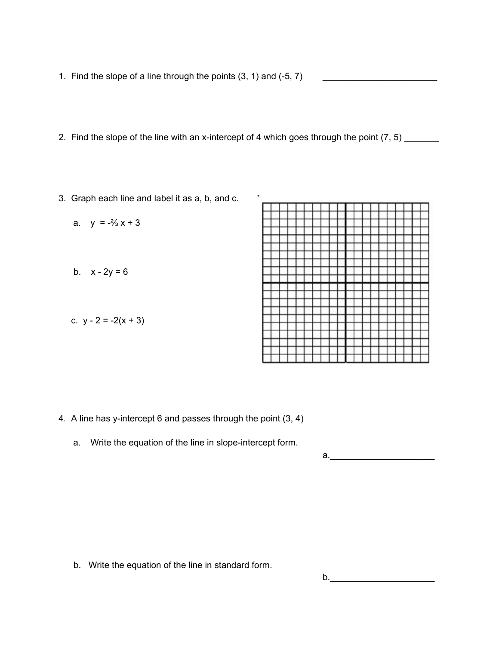- 1. Find the slope of a line through the points  $(3, 1)$  and  $(-5, 7)$
- 2. Find the slope of the line with an x-intercept of 4 which goes through the point  $(7, 5)$  \_\_\_\_\_\_\_
- 3. Graph each line and label it as a, b, and c.

| Graph each line and label it as a, b, and c. | ٠ |
|----------------------------------------------|---|
| a. $y = -\frac{2}{3}x + 3$                   |   |
| b. $x - 2y = 6$                              |   |
|                                              |   |
| c. $y - 2 = -2(x + 3)$                       |   |
|                                              |   |

- 4. A line has y-intercept 6 and passes through the point (3, 4)
	- a. Write the equation of the line in slope-intercept form.

a.\_\_\_\_\_\_\_\_\_\_\_\_\_\_\_\_\_\_\_\_\_

b. Write the equation of the line in standard form.

 $b.$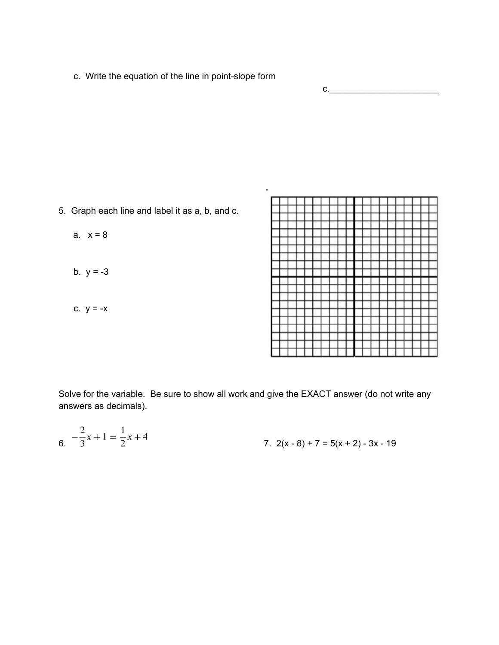c. Write the equation of the line in point-slope form

 $c_{\cdot}$ 

- 5. Graph each line and label it as a, b, and c.
	- a.  $x = 8$
	- b.  $y = -3$
	- c.  $y = -x$



Solve for the variable. Be sure to show all work and give the EXACT answer (do not write any answers as decimals).

$$
6. \quad -\frac{2}{3}x + 1 = \frac{1}{2}x + 4
$$
\n
$$
7. \quad 2(x - 8) + 7 = 5(x + 2) - 3x - 19
$$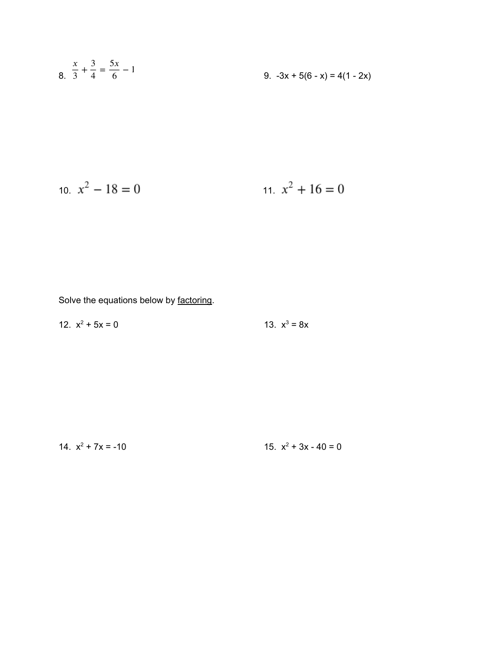$$
\frac{x}{3} + \frac{3}{4} = \frac{5x}{6} - 1
$$
\n
$$
9. -3x + 5(6 - x) = 4(1 - 2x)
$$

$$
x^2 - 18 = 0
$$
 
$$
x^2 + 16 = 0
$$

Solve the equations below by factoring.

12.  $x^2 + 5x = 0$  13.  $x^3$ 13.  $x^3 = 8x$ 

14.  $x^2 + 7x = -10$  15.  $x^2$ 15.  $x^2 + 3x - 40 = 0$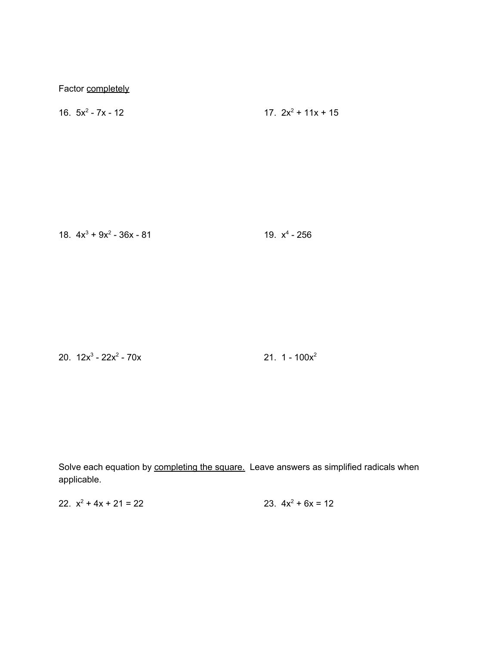Factor completely

16.  $5x^2 - 7x - 12$  17.  $2x^2$ 17.  $2x^2$  + 11x + 15

18.  $4x^3 + 9x^2 - 36x - 81$  19.  $x^4$  $4 - 256$ 

20.  $12x^3 - 22x^2$ 

 $-70x$  21. 1  $-100x^2$ 

Solve each equation by completing the square. Leave answers as simplified radicals when applicable.

22.  $x^2 + 4x + 21 = 22$  23.  $4x^2 + 4x + 21 = 22$ 23.  $4x^2 + 6x = 12$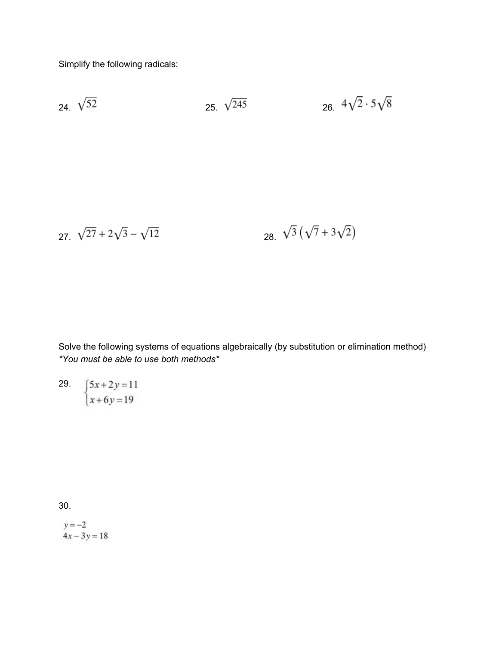Simplify the following radicals:

24. 
$$
\sqrt{52}
$$
 25.  $\sqrt{245}$  26.  $4\sqrt{2} \cdot 5\sqrt{8}$ 

$$
27. \ \sqrt{27} + 2\sqrt{3} - \sqrt{12} \qquad \qquad 28. \ \sqrt{3} \left( \sqrt{7} + 3\sqrt{2} \right)
$$

Solve the following systems of equations algebraically (by substitution or elimination method) *\*You must be able to use both methods\**

$$
\begin{cases}\n5x + 2y = 11 \\
x + 6y = 19\n\end{cases}
$$

30.

 $y = -2$  $4x - 3y = 18$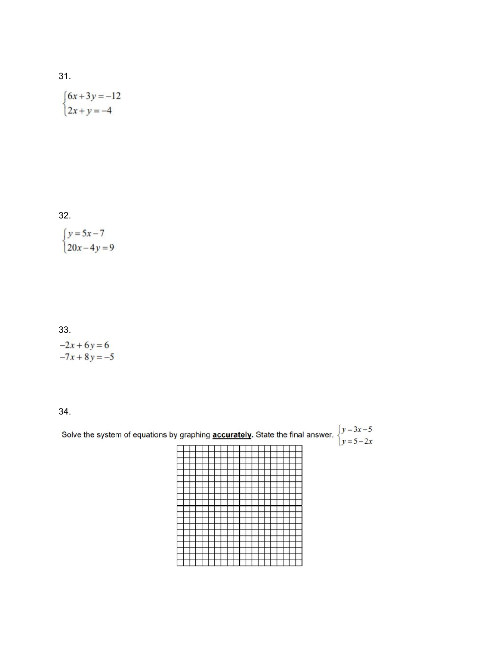#### 3 1.

$$
\begin{cases} 6x + 3y = -12 \\ 2x + y = -4 \end{cases}
$$

32.

 $\begin{cases} y = 5x - 7 \\ 20x - 4y = 9 \end{cases}$ 

# 33.

 $-2x + 6y = 6$ <br> $-7x + 8y = -5$ 

34.

| Solve the system of equations by graphing <b>accurately</b> . State the final answer. $\begin{cases} y = 3x - 5 \\ y = 5 - 2x \end{cases}$ |  |  |  |  |  |  |  |  |  |  |  |  |  |  |
|--------------------------------------------------------------------------------------------------------------------------------------------|--|--|--|--|--|--|--|--|--|--|--|--|--|--|
|                                                                                                                                            |  |  |  |  |  |  |  |  |  |  |  |  |  |  |
|                                                                                                                                            |  |  |  |  |  |  |  |  |  |  |  |  |  |  |
|                                                                                                                                            |  |  |  |  |  |  |  |  |  |  |  |  |  |  |
|                                                                                                                                            |  |  |  |  |  |  |  |  |  |  |  |  |  |  |
|                                                                                                                                            |  |  |  |  |  |  |  |  |  |  |  |  |  |  |
|                                                                                                                                            |  |  |  |  |  |  |  |  |  |  |  |  |  |  |
|                                                                                                                                            |  |  |  |  |  |  |  |  |  |  |  |  |  |  |
|                                                                                                                                            |  |  |  |  |  |  |  |  |  |  |  |  |  |  |
|                                                                                                                                            |  |  |  |  |  |  |  |  |  |  |  |  |  |  |
|                                                                                                                                            |  |  |  |  |  |  |  |  |  |  |  |  |  |  |
|                                                                                                                                            |  |  |  |  |  |  |  |  |  |  |  |  |  |  |
|                                                                                                                                            |  |  |  |  |  |  |  |  |  |  |  |  |  |  |
|                                                                                                                                            |  |  |  |  |  |  |  |  |  |  |  |  |  |  |
|                                                                                                                                            |  |  |  |  |  |  |  |  |  |  |  |  |  |  |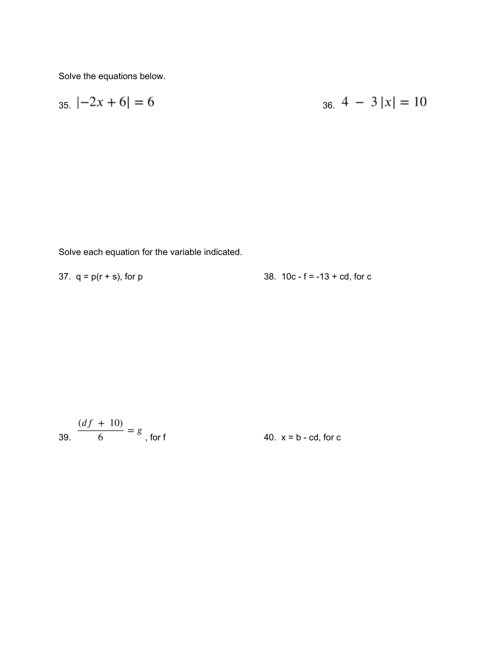Solve the equations below.

$$
35. \; | -2x + 6 | = 6 \qquad \qquad 36. \; 4 \; - \; 3 \; |x| = 10
$$

Solve each equation for the variable indicated.

| 37. $q = p(r + s)$ , for p |  | 38. $10c - f = -13 + cd$ , for c |  |  |  |
|----------------------------|--|----------------------------------|--|--|--|
|                            |  |                                  |  |  |  |

39. 
$$
\frac{(df + 10)}{6} = g
$$
, for f 40. x = b - cd, for c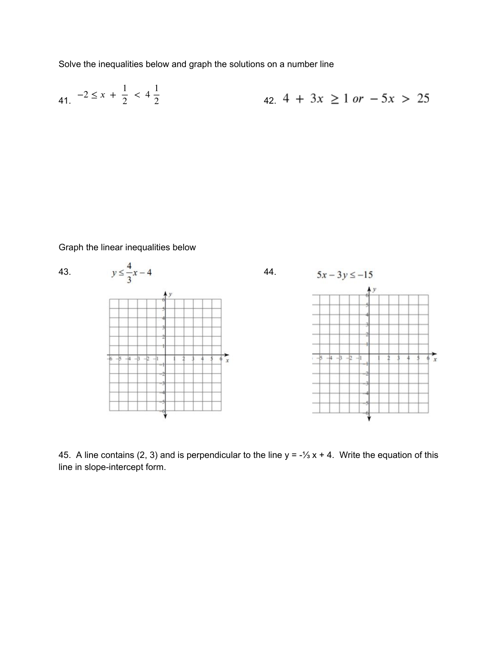Solve the inequalities below and graph the solutions on a number line

41. 
$$
-2 \le x + \frac{1}{2} < 4\frac{1}{2}
$$
  
42.  $4 + 3x \ge 1$  or  $-5x > 25$ 

Graph the linear inequalities below



45. A line contains (2, 3) and is perpendicular to the line  $y = -\frac{1}{3}x + 4$ . Write the equation of this line in slope-intercept form.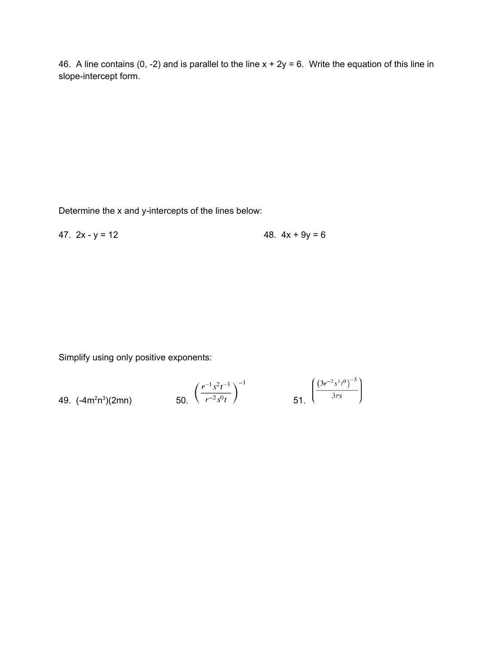46. A line contains (0, -2) and is parallel to the line  $x + 2y = 6$ . Write the equation of this line in slope-intercept form.

Determine the x and y-intercepts of the lines below:

47.  $2x - y = 12$  48.  $4x + 9y = 6$ 

Simplify using only positive exponents:

49. 
$$
(-4m^2n^3)(2mn)
$$
 50.  $\left(\frac{r^{-1}s^2t^{-3}}{r^{-2}s^0t}\right)^{-1}$  51.  $\left(\frac{(3r^{-2}s^3t^0)^{-3}}{3rs}\right)$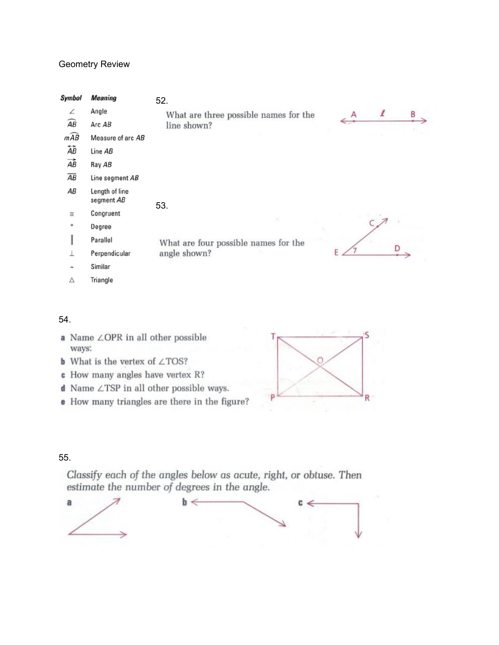## Geometry Review

| <b>Symbol</b>             | <b>Meaning</b>               | 52.                                   |   |   |   |
|---------------------------|------------------------------|---------------------------------------|---|---|---|
| ∠                         | Angle                        | What are three possible names for the | A | l | B |
| $\widehat{AB}$            | Arc AB                       | line shown?                           |   |   |   |
| $m\widehat{AB}$           | Measure of arc AB            |                                       |   |   |   |
| $\overleftrightarrow{AB}$ | Line AB                      |                                       |   |   |   |
| $\overrightarrow{AB}$     | Ray AB                       |                                       |   |   |   |
| $\overline{AB}$           | Line segment AB              |                                       |   |   |   |
| AB                        | Length of line<br>segment AB | 53.                                   |   |   |   |
| $\cong$                   | Congruent                    |                                       |   |   |   |
| $\circ$                   | Degree                       |                                       |   |   |   |
| I                         | Parallel                     | What are four possible names for the  |   |   |   |
|                           | Perpendicular                | angle shown?                          |   |   |   |
| $\tilde{ }$               | Similar                      |                                       |   |   |   |
| Δ                         | Triangle                     |                                       |   |   |   |

#### 54.

- a Name ∠OPR in all other possible ways: **b** What is the vertex of  $\angle$ TOS?  $\subset$ **c** How many angles have vertex R?  $\mathbb{d}$  Name  $\angle$  TSP in all other possible ways.
- e How many triangles are there in the figure?



## 55.

Classify each of the angles below as acute, right, or obtuse. Then estimate the number of degrees in the angle.

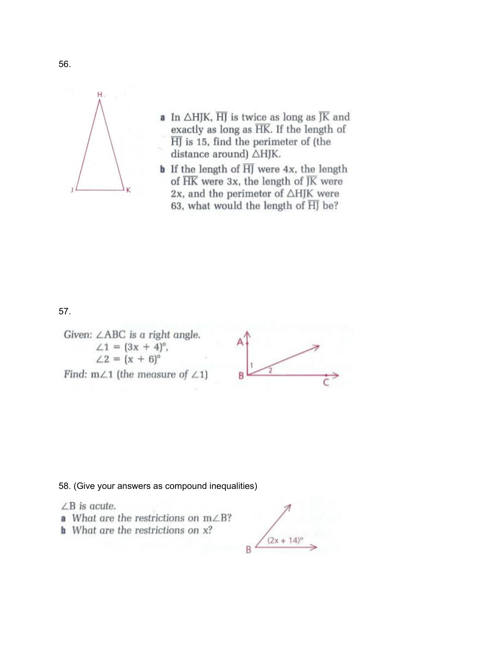

- a In  $\triangle HJK$ ,  $\overline{HJ}$  is twice as long as  $\overline{JK}$  and exactly as long as HK. If the length of  $\overline{H}$  is 15, find the perimeter of (the distance around)  $\triangle HJK$ .
- **b** If the length of  $\overline{H}$  were 4x, the length of  $\overline{HK}$  were 3x, the length of  $\overline{JK}$  were 2x, and the perimeter of  $\triangle HJK$  were 63, what would the length of  $\overline{HJ}$  be?

## 57.

Given: ∠ABC is a right angle.  $\angle 1 = (3x + 4)^{\circ}$ ,<br> $\angle 2 = (x + 6)^{\circ}$ 





#### 58. (Give your answers as compound inequalities)

 $\angle B$  is acute.

- a What are the restrictions on  $m\angle B$ ?
- **b** What are the restrictions on  $x$ ?

 $(2x + 14)^c$ B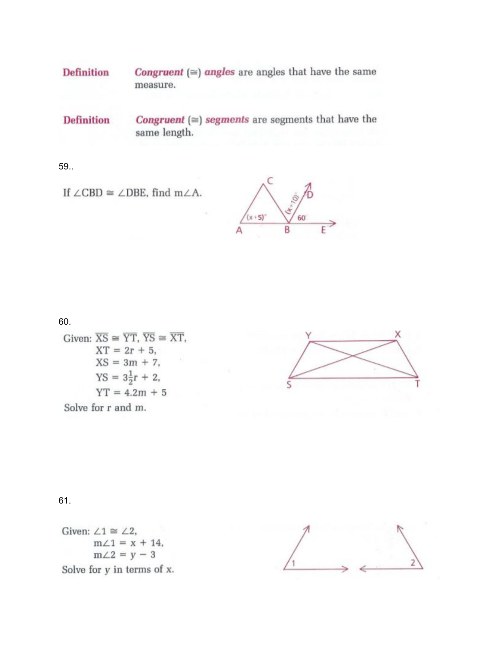**Definition Congruent** ( $\cong$ ) angles are angles that have the same measure.

**Congruent** ( $\cong$ ) segments are segments that have the **Definition** same length.

59.

If  $\angle$ CBD  $\cong$   $\angle$ DBE, find m $\angle$ A.

 $(x+5)°$ 60 B

60.

Given:  $\overline{XS} \cong \overline{YT}$ ,  $\overline{YS} \cong \overline{XT}$ ,  $XT = 2r + 5,$  $XS = 3m + 7,$  $YS = 3\frac{1}{2}r + 2,$  $YT = 4.2m + 5$ Solve for r and m.



## 61.

Given:  $\angle 1 \cong \angle 2$ ,  $m\angle 1 = x + 14$ ,  $m\angle 2 = y - 3$ Solve for y in terms of x.

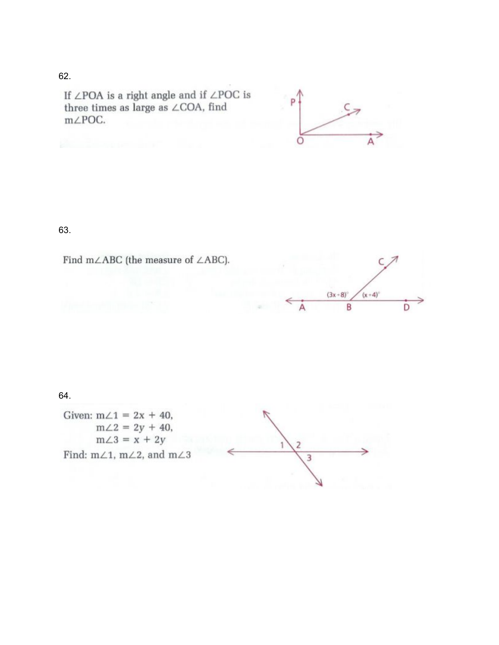#### 6 2.

If  $\angle\text{POA}$  is a right angle and if  $\angle\text{POC}$  is three times as large as ∠COA, find m∠POC.



# 63.





# 64.

Given:  $m\angle 1 = 2x + 40$ ,  $m\angle 2 = 2y + 40,$  $m\angle 3 = x + 2y$ Find: m $\angle$ 1, m $\angle$ 2, and m $\angle$ 3

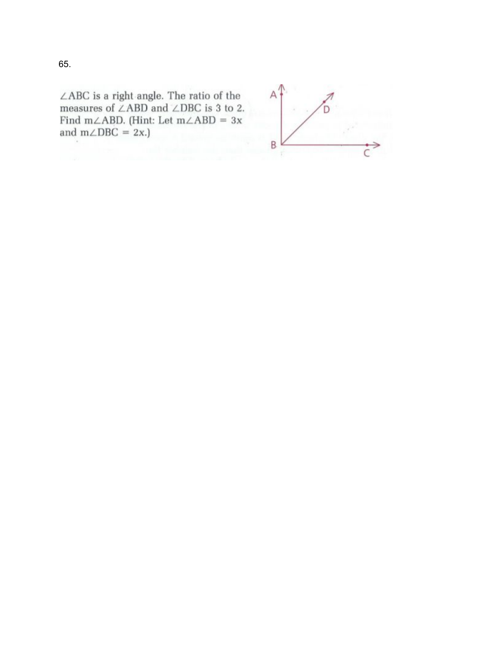$\angle\text{ABC}$  is a right angle. The ratio of the measures of ∠ABD and ∠DBC is 3 to 2. Find m $\angle$ ABD. (Hint: Let m $\angle$ ABD = 3x and  $m\angle DBC = 2x$ .)

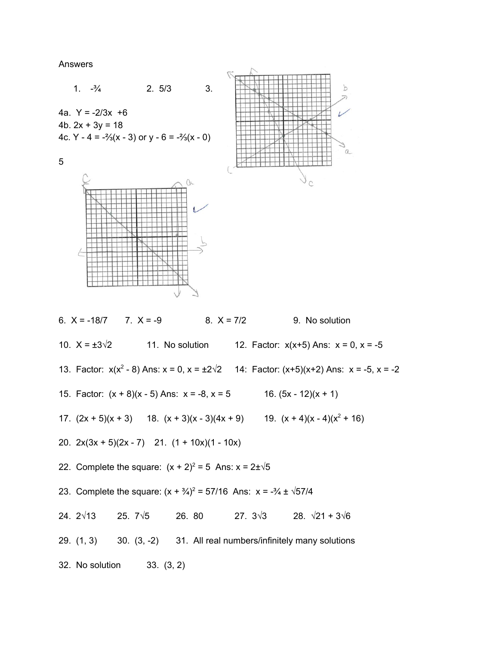**Answers** 



6.  $X = -18/7$ 7.  $X = -9$  $8. X = 7/2$ 9. No solution 10.  $X = \pm 3\sqrt{2}$ 11. No solution 12. Factor:  $x(x+5)$  Ans:  $x = 0$ ,  $x = -5$ 13. Factor:  $x(x^2 - 8)$  Ans:  $x = 0$ ,  $x = \pm 2\sqrt{2}$  14: Factor:  $(x+5)(x+2)$  Ans:  $x = -5$ ,  $x = -2$ 15. Factor:  $(x + 8)(x - 5)$  Ans:  $x = -8$ ,  $x = 5$  16.  $(5x - 12)(x + 1)$ 17.  $(2x + 5)(x + 3)$  18.  $(x + 3)(x - 3)(4x + 9)$  19.  $(x + 4)(x - 4)(x^2 + 16)$ 20.  $2x(3x + 5)(2x - 7)$  21.  $(1 + 10x)(1 - 10x)$ 22. Complete the square:  $(x + 2)^2 = 5$  Ans:  $x = 2 \pm \sqrt{5}$ 23. Complete the square:  $(x + \frac{3}{4})^2 = 57/16$  Ans:  $x = -\frac{3}{4} \pm \sqrt{57/4}$ 24.  $2\sqrt{13}$ 28.  $\sqrt{21} + 3\sqrt{6}$ 25.  $7\sqrt{5}$ 26. 80 27.  $3\sqrt{3}$  $29. (1, 3)$ 30. (3, -2) 31. All real numbers/infinitely many solutions 32. No solution  $33. (3, 2)$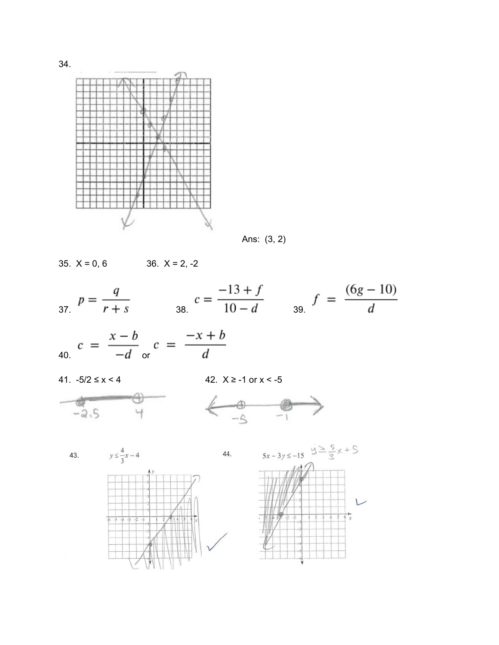

Ans: (3, 2)

35. 
$$
X = 0, 6
$$
 36.  $X = 2, -2$ 

$$
s = \frac{q}{r+s} \qquad s = \frac{-13+f}{10-d} \qquad s = \frac{(6g-10)}{d}
$$

$$
c = \frac{x-b}{-d}
$$
 or 
$$
c = \frac{-x+b}{d}
$$

41.  $-5/2 \le x < 4$ 

42.  $X \ge -1$  or  $x < -5$ 





43.





34.